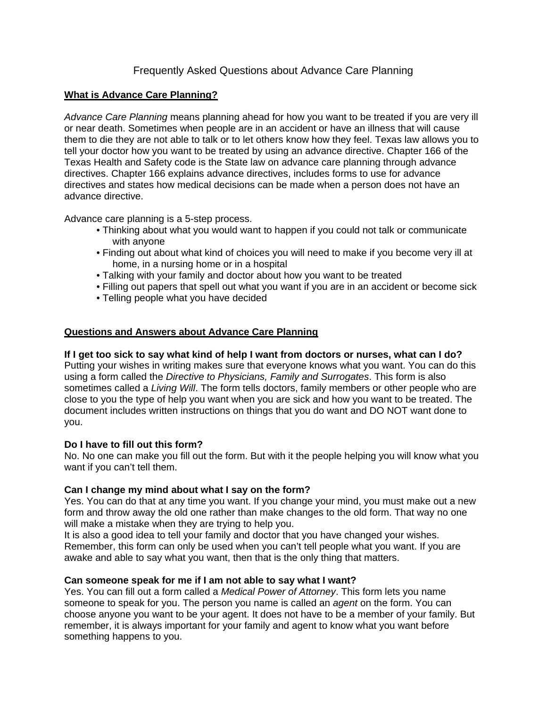# Frequently Asked Questions about Advance Care Planning

# **What is Advance Care Planning?**

*Advance Care Planning* means planning ahead for how you want to be treated if you are very ill or near death. Sometimes when people are in an accident or have an illness that will cause them to die they are not able to talk or to let others know how they feel. Texas law allows you to tell your doctor how you want to be treated by using an advance directive. Chapter 166 of the Texas Health and Safety code is the State law on advance care planning through advance directives. Chapter 166 explains advance directives, includes forms to use for advance directives and states how medical decisions can be made when a person does not have an advance directive.

Advance care planning is a 5-step process.

- Thinking about what you would want to happen if you could not talk or communicate with anyone
- Finding out about what kind of choices you will need to make if you become very ill at home, in a nursing home or in a hospital
- Talking with your family and doctor about how you want to be treated
- Filling out papers that spell out what you want if you are in an accident or become sick
- Telling people what you have decided

# **Questions and Answers about Advance Care Planning**

## **If I get too sick to say what kind of help I want from doctors or nurses, what can I do?**

Putting your wishes in writing makes sure that everyone knows what you want. You can do this using a form called the *Directive to Physicians, Family and Surrogates*. This form is also sometimes called a *Living Will*. The form tells doctors, family members or other people who are close to you the type of help you want when you are sick and how you want to be treated. The document includes written instructions on things that you do want and DO NOT want done to you.

#### **Do I have to fill out this form?**

No. No one can make you fill out the form. But with it the people helping you will know what you want if you can't tell them.

# **Can I change my mind about what I say on the form?**

Yes. You can do that at any time you want. If you change your mind, you must make out a new form and throw away the old one rather than make changes to the old form. That way no one will make a mistake when they are trying to help you.

It is also a good idea to tell your family and doctor that you have changed your wishes. Remember, this form can only be used when you can't tell people what you want. If you are awake and able to say what you want, then that is the only thing that matters.

#### **Can someone speak for me if I am not able to say what I want?**

Yes. You can fill out a form called a *Medical Power of Attorney*. This form lets you name someone to speak for you. The person you name is called an *agent* on the form. You can choose anyone you want to be your agent. It does not have to be a member of your family. But remember, it is always important for your family and agent to know what you want before something happens to you.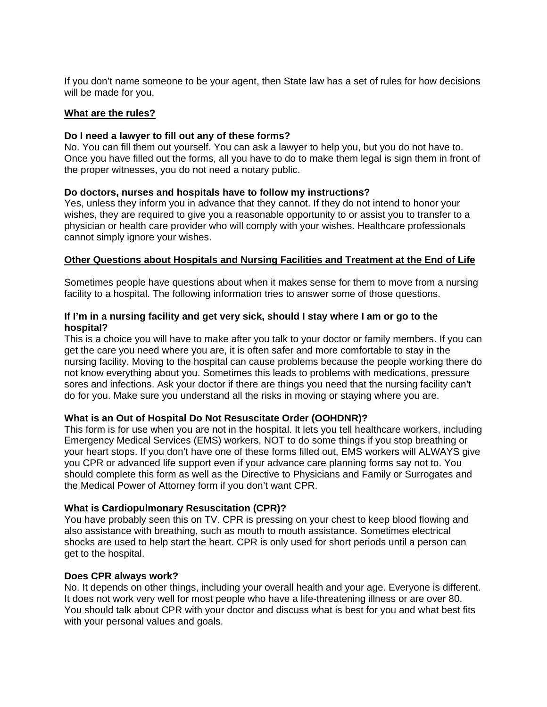If you don't name someone to be your agent, then State law has a set of rules for how decisions will be made for you.

#### **What are the rules?**

### **Do I need a lawyer to fill out any of these forms?**

No. You can fill them out yourself. You can ask a lawyer to help you, but you do not have to. Once you have filled out the forms, all you have to do to make them legal is sign them in front of the proper witnesses, you do not need a notary public.

## **Do doctors, nurses and hospitals have to follow my instructions?**

Yes, unless they inform you in advance that they cannot. If they do not intend to honor your wishes, they are required to give you a reasonable opportunity to or assist you to transfer to a physician or health care provider who will comply with your wishes. Healthcare professionals cannot simply ignore your wishes.

# **Other Questions about Hospitals and Nursing Facilities and Treatment at the End of Life**

Sometimes people have questions about when it makes sense for them to move from a nursing facility to a hospital. The following information tries to answer some of those questions.

### **If I'm in a nursing facility and get very sick, should I stay where I am or go to the hospital?**

This is a choice you will have to make after you talk to your doctor or family members. If you can get the care you need where you are, it is often safer and more comfortable to stay in the nursing facility. Moving to the hospital can cause problems because the people working there do not know everything about you. Sometimes this leads to problems with medications, pressure sores and infections. Ask your doctor if there are things you need that the nursing facility can't do for you. Make sure you understand all the risks in moving or staying where you are.

#### **What is an Out of Hospital Do Not Resuscitate Order (OOHDNR)?**

This form is for use when you are not in the hospital. It lets you tell healthcare workers, including Emergency Medical Services (EMS) workers, NOT to do some things if you stop breathing or your heart stops. If you don't have one of these forms filled out, EMS workers will ALWAYS give you CPR or advanced life support even if your advance care planning forms say not to. You should complete this form as well as the Directive to Physicians and Family or Surrogates and the Medical Power of Attorney form if you don't want CPR.

#### **What is Cardiopulmonary Resuscitation (CPR)?**

You have probably seen this on TV. CPR is pressing on your chest to keep blood flowing and also assistance with breathing, such as mouth to mouth assistance. Sometimes electrical shocks are used to help start the heart. CPR is only used for short periods until a person can get to the hospital.

#### **Does CPR always work?**

No. It depends on other things, including your overall health and your age. Everyone is different. It does not work very well for most people who have a life-threatening illness or are over 80. You should talk about CPR with your doctor and discuss what is best for you and what best fits with your personal values and goals.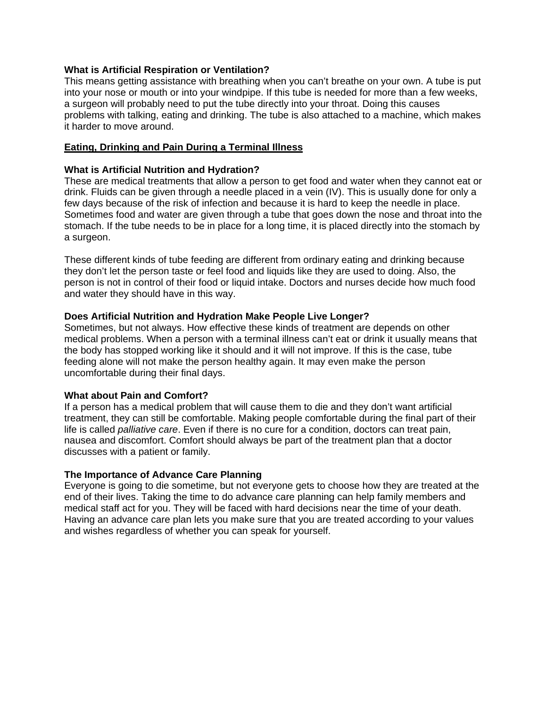## **What is Artificial Respiration or Ventilation?**

This means getting assistance with breathing when you can't breathe on your own. A tube is put into your nose or mouth or into your windpipe. If this tube is needed for more than a few weeks, a surgeon will probably need to put the tube directly into your throat. Doing this causes problems with talking, eating and drinking. The tube is also attached to a machine, which makes it harder to move around.

# **Eating, Drinking and Pain During a Terminal Illness**

# **What is Artificial Nutrition and Hydration?**

These are medical treatments that allow a person to get food and water when they cannot eat or drink. Fluids can be given through a needle placed in a vein (IV). This is usually done for only a few days because of the risk of infection and because it is hard to keep the needle in place. Sometimes food and water are given through a tube that goes down the nose and throat into the stomach. If the tube needs to be in place for a long time, it is placed directly into the stomach by a surgeon.

These different kinds of tube feeding are different from ordinary eating and drinking because they don't let the person taste or feel food and liquids like they are used to doing. Also, the person is not in control of their food or liquid intake. Doctors and nurses decide how much food and water they should have in this way.

## **Does Artificial Nutrition and Hydration Make People Live Longer?**

Sometimes, but not always. How effective these kinds of treatment are depends on other medical problems. When a person with a terminal illness can't eat or drink it usually means that the body has stopped working like it should and it will not improve. If this is the case, tube feeding alone will not make the person healthy again. It may even make the person uncomfortable during their final days.

# **What about Pain and Comfort?**

If a person has a medical problem that will cause them to die and they don't want artificial treatment, they can still be comfortable. Making people comfortable during the final part of their life is called *palliative care*. Even if there is no cure for a condition, doctors can treat pain, nausea and discomfort. Comfort should always be part of the treatment plan that a doctor discusses with a patient or family.

#### **The Importance of Advance Care Planning**

Everyone is going to die sometime, but not everyone gets to choose how they are treated at the end of their lives. Taking the time to do advance care planning can help family members and medical staff act for you. They will be faced with hard decisions near the time of your death. Having an advance care plan lets you make sure that you are treated according to your values and wishes regardless of whether you can speak for yourself.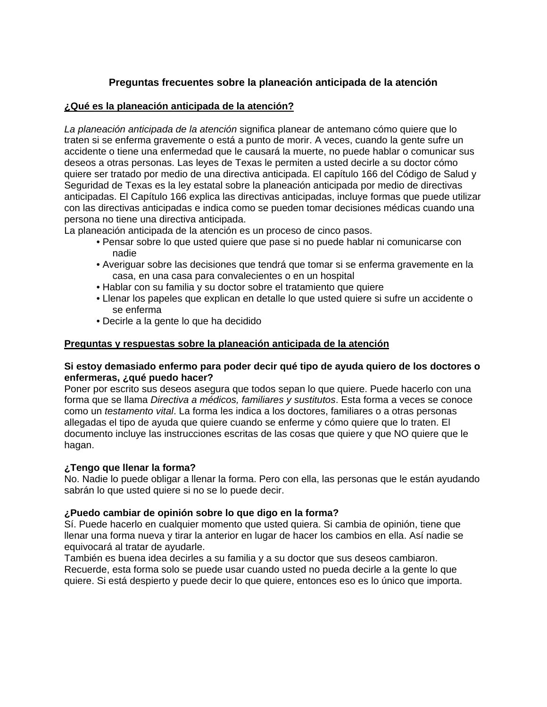# **Preguntas frecuentes sobre la planeación anticipada de la atención**

# **¿Qué es la planeación anticipada de la atención?**

*La planeación anticipada de la atención* significa planear de antemano cómo quiere que lo traten si se enferma gravemente o está a punto de morir. A veces, cuando la gente sufre un accidente o tiene una enfermedad que le causará la muerte, no puede hablar o comunicar sus deseos a otras personas. Las leyes de Texas le permiten a usted decirle a su doctor cómo quiere ser tratado por medio de una directiva anticipada. El capítulo 166 del Código de Salud y Seguridad de Texas es la ley estatal sobre la planeación anticipada por medio de directivas anticipadas. El Capítulo 166 explica las directivas anticipadas, incluye formas que puede utilizar con las directivas anticipadas e indica como se pueden tomar decisiones médicas cuando una persona no tiene una directiva anticipada.

La planeación anticipada de la atención es un proceso de cinco pasos.

- Pensar sobre lo que usted quiere que pase si no puede hablar ni comunicarse con nadie
- Averiguar sobre las decisiones que tendrá que tomar si se enferma gravemente en la casa, en una casa para convalecientes o en un hospital
- Hablar con su familia y su doctor sobre el tratamiento que quiere
- Llenar los papeles que explican en detalle lo que usted quiere si sufre un accidente o se enferma
- Decirle a la gente lo que ha decidido

## **Preguntas y respuestas sobre la planeación anticipada de la atención**

#### **Si estoy demasiado enfermo para poder decir qué tipo de ayuda quiero de los doctores o enfermeras, ¿qué puedo hacer?**

Poner por escrito sus deseos asegura que todos sepan lo que quiere. Puede hacerlo con una forma que se llama *Directiva a médicos, familiares y sustitutos*. Esta forma a veces se conoce como un *testamento vital*. La forma les indica a los doctores, familiares o a otras personas allegadas el tipo de ayuda que quiere cuando se enferme y cómo quiere que lo traten. El documento incluye las instrucciones escritas de las cosas que quiere y que NO quiere que le hagan.

## **¿Tengo que llenar la forma?**

No. Nadie lo puede obligar a llenar la forma. Pero con ella, las personas que le están ayudando sabrán lo que usted quiere si no se lo puede decir.

## **¿Puedo cambiar de opinión sobre lo que digo en la forma?**

Sí. Puede hacerlo en cualquier momento que usted quiera. Si cambia de opinión, tiene que llenar una forma nueva y tirar la anterior en lugar de hacer los cambios en ella. Así nadie se equivocará al tratar de ayudarle.

También es buena idea decirles a su familia y a su doctor que sus deseos cambiaron. Recuerde, esta forma solo se puede usar cuando usted no pueda decirle a la gente lo que quiere. Si está despierto y puede decir lo que quiere, entonces eso es lo único que importa.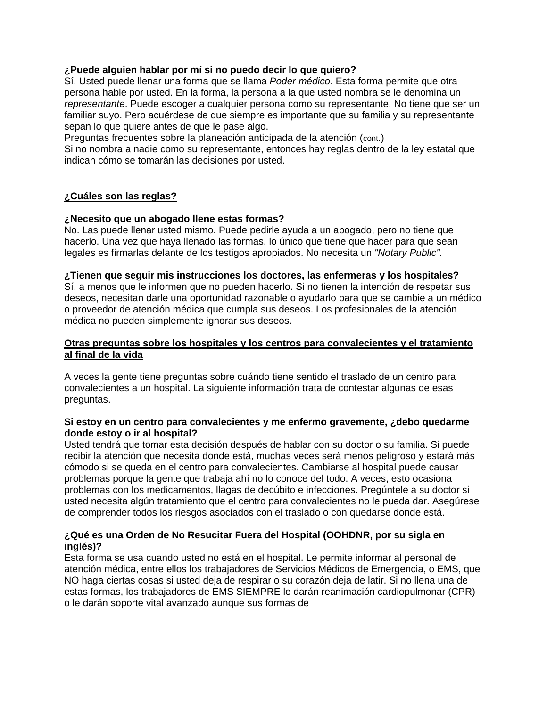# **¿Puede alguien hablar por mí si no puedo decir lo que quiero?**

Sí. Usted puede llenar una forma que se llama *Poder médico*. Esta forma permite que otra persona hable por usted. En la forma, la persona a la que usted nombra se le denomina un *representante*. Puede escoger a cualquier persona como su representante. No tiene que ser un familiar suyo. Pero acuérdese de que siempre es importante que su familia y su representante sepan lo que quiere antes de que le pase algo.

Preguntas frecuentes sobre la planeación anticipada de la atención (cont.)

Si no nombra a nadie como su representante, entonces hay reglas dentro de la ley estatal que indican cómo se tomarán las decisiones por usted.

## **¿Cuáles son las reglas?**

## **¿Necesito que un abogado llene estas formas?**

No. Las puede llenar usted mismo. Puede pedirle ayuda a un abogado, pero no tiene que hacerlo. Una vez que haya llenado las formas, lo único que tiene que hacer para que sean legales es firmarlas delante de los testigos apropiados. No necesita un *"Notary Public".* 

#### **¿Tienen que seguir mis instrucciones los doctores, las enfermeras y los hospitales?**

Sí, a menos que le informen que no pueden hacerlo. Si no tienen la intención de respetar sus deseos, necesitan darle una oportunidad razonable o ayudarlo para que se cambie a un médico o proveedor de atención médica que cumpla sus deseos. Los profesionales de la atención médica no pueden simplemente ignorar sus deseos.

## **Otras preguntas sobre los hospitales y los centros para convalecientes y el tratamiento al final de la vida**

A veces la gente tiene preguntas sobre cuándo tiene sentido el traslado de un centro para convalecientes a un hospital. La siguiente información trata de contestar algunas de esas preguntas.

#### **Si estoy en un centro para convalecientes y me enfermo gravemente, ¿debo quedarme donde estoy o ir al hospital?**

Usted tendrá que tomar esta decisión después de hablar con su doctor o su familia. Si puede recibir la atención que necesita donde está, muchas veces será menos peligroso y estará más cómodo si se queda en el centro para convalecientes. Cambiarse al hospital puede causar problemas porque la gente que trabaja ahí no lo conoce del todo. A veces, esto ocasiona problemas con los medicamentos, llagas de decúbito e infecciones. Pregúntele a su doctor si usted necesita algún tratamiento que el centro para convalecientes no le pueda dar. Asegúrese de comprender todos los riesgos asociados con el traslado o con quedarse donde está.

# **¿Qué es una Orden de No Resucitar Fuera del Hospital (OOHDNR, por su sigla en inglés)?**

Esta forma se usa cuando usted no está en el hospital. Le permite informar al personal de atención médica, entre ellos los trabajadores de Servicios Médicos de Emergencia, o EMS, que NO haga ciertas cosas si usted deja de respirar o su corazón deja de latir. Si no llena una de estas formas, los trabajadores de EMS SIEMPRE le darán reanimación cardiopulmonar (CPR) o le darán soporte vital avanzado aunque sus formas de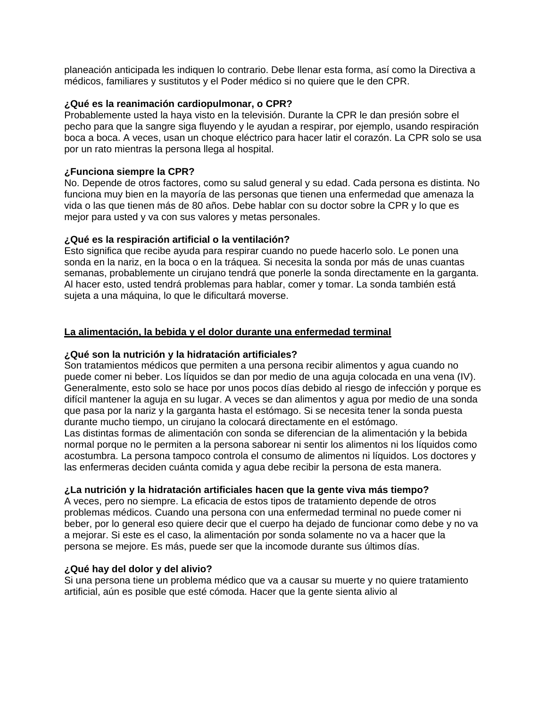planeación anticipada les indiquen lo contrario. Debe llenar esta forma, así como la Directiva a médicos, familiares y sustitutos y el Poder médico si no quiere que le den CPR.

### **¿Qué es la reanimación cardiopulmonar, o CPR?**

Probablemente usted la haya visto en la televisión. Durante la CPR le dan presión sobre el pecho para que la sangre siga fluyendo y le ayudan a respirar, por ejemplo, usando respiración boca a boca. A veces, usan un choque eléctrico para hacer latir el corazón. La CPR solo se usa por un rato mientras la persona llega al hospital.

# **¿Funciona siempre la CPR?**

No. Depende de otros factores, como su salud general y su edad. Cada persona es distinta. No funciona muy bien en la mayoría de las personas que tienen una enfermedad que amenaza la vida o las que tienen más de 80 años. Debe hablar con su doctor sobre la CPR y lo que es mejor para usted y va con sus valores y metas personales.

## **¿Qué es la respiración artificial o la ventilación?**

Esto significa que recibe ayuda para respirar cuando no puede hacerlo solo. Le ponen una sonda en la nariz, en la boca o en la tráquea. Si necesita la sonda por más de unas cuantas semanas, probablemente un cirujano tendrá que ponerle la sonda directamente en la garganta. Al hacer esto, usted tendrá problemas para hablar, comer y tomar. La sonda también está sujeta a una máquina, lo que le dificultará moverse.

## **La alimentación, la bebida y el dolor durante una enfermedad terminal**

#### **¿Qué son la nutrición y la hidratación artificiales?**

Son tratamientos médicos que permiten a una persona recibir alimentos y agua cuando no puede comer ni beber. Los líquidos se dan por medio de una aguja colocada en una vena (IV). Generalmente, esto solo se hace por unos pocos días debido al riesgo de infección y porque es difícil mantener la aguja en su lugar. A veces se dan alimentos y agua por medio de una sonda que pasa por la nariz y la garganta hasta el estómago. Si se necesita tener la sonda puesta durante mucho tiempo, un cirujano la colocará directamente en el estómago. Las distintas formas de alimentación con sonda se diferencian de la alimentación y la bebida

normal porque no le permiten a la persona saborear ni sentir los alimentos ni los líquidos como acostumbra. La persona tampoco controla el consumo de alimentos ni líquidos. Los doctores y las enfermeras deciden cuánta comida y agua debe recibir la persona de esta manera.

# **¿La nutrición y la hidratación artificiales hacen que la gente viva más tiempo?**

A veces, pero no siempre. La eficacia de estos tipos de tratamiento depende de otros problemas médicos. Cuando una persona con una enfermedad terminal no puede comer ni beber, por lo general eso quiere decir que el cuerpo ha dejado de funcionar como debe y no va a mejorar. Si este es el caso, la alimentación por sonda solamente no va a hacer que la persona se mejore. Es más, puede ser que la incomode durante sus últimos días.

# **¿Qué hay del dolor y del alivio?**

Si una persona tiene un problema médico que va a causar su muerte y no quiere tratamiento artificial, aún es posible que esté cómoda. Hacer que la gente sienta alivio al